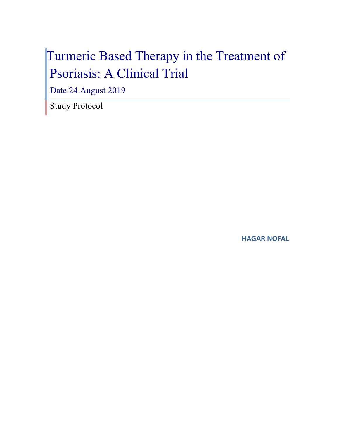# Turmeric Based Therapy in the Treatment of Psoriasis: A Clinical Trial

Date 24 August 2019

Study Protocol

**HAGAR NOFAL**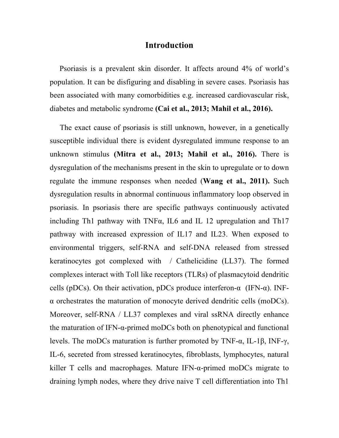#### **Introduction**

Psoriasis is a prevalent skin disorder. It affects around 4% of world's population. It can be disfiguring and disabling in severe cases. Psoriasis has been associated with many comorbidities e.g. increased cardiovascular risk, diabetes and metabolic syndrome **(Cai et al., 2013; Mahil et al., 2016).**

The exact cause of psoriasis is still unknown, however, in a genetically susceptible individual there is evident dysregulated immune response to an unknown stimulus **(Mitra et al., 2013; Mahil et al., 2016).** There is dysregulation of the mechanisms present in the skin to upregulate or to down regulate the immune responses when needed (**Wang et al., 2011).** Such dysregulation results in abnormal continuous inflammatory loop observed in psoriasis. In psoriasis there are specific pathways continuously activated including Th1 pathway with TNFα, IL6 and IL 12 upregulation and Th17 pathway with increased expression of IL17 and IL23. When exposed to environmental triggers, self-RNA and self-DNA released from stressed keratinocytes got complexed with / Cathelicidine (LL37). The formed complexes interact with Toll like receptors (TLRs) of plasmacytoid dendritic cells (pDCs). On their activation, pDCs produce interferon- $\alpha$  (IFN- $\alpha$ ). INFα orchestrates the maturation of monocyte derived dendritic cells (moDCs). Moreover, self-RNA / LL37 complexes and viral ssRNA directly enhance the maturation of IFN-α-primed moDCs both on phenotypical and functional levels. The moDCs maturation is further promoted by TNF-α, IL-1β, INF-γ, IL-6, secreted from stressed keratinocytes, fibroblasts, lymphocytes, natural killer T cells and macrophages. Mature IFN- $\alpha$ -primed moDCs migrate to draining lymph nodes, where they drive naive T cell differentiation into Th1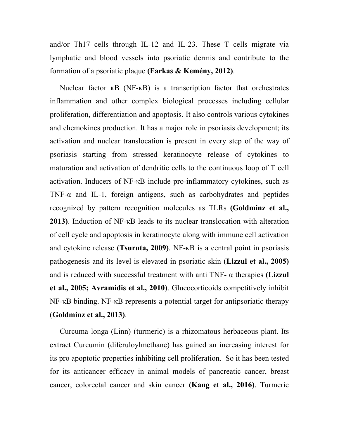and/or Th17 cells through IL-12 and IL-23. These T cells migrate via lymphatic and blood vessels into psoriatic dermis and contribute to the formation of a psoriatic plaque **(Farkas & Kemény, 2012)**.

Nuclear factor κB (NF-κB) is a transcription factor that orchestrates inflammation and other complex biological processes including cellular proliferation, differentiation and apoptosis. It also controls various cytokines and chemokines production. It has a major role in psoriasis development; its activation and nuclear translocation is present in every step of the way of psoriasis starting from stressed keratinocyte release of cytokines to maturation and activation of dendritic cells to the continuous loop of T cell activation. Inducers of NF-κB include pro-inflammatory cytokines, such as TNF- $\alpha$  and IL-1, foreign antigens, such as carbohydrates and peptides recognized by pattern recognition molecules as TLRs **(Goldminz et al., 2013)**. Induction of NF-κB leads to its nuclear translocation with alteration of cell cycle and apoptosis in keratinocyte along with immune cell activation and cytokine release **(Tsuruta, 2009)**. NF-κB is a central point in psoriasis pathogenesis and its level is elevated in psoriatic skin (**Lizzul et al., 2005)**  and is reduced with successful treatment with anti TNF- α therapies **(Lizzul et al., 2005; Avramidis et al., 2010)**. Glucocorticoids competitively inhibit NF-κB binding. NF-κB represents a potential target for antipsoriatic therapy (**Goldminz et al., 2013)**.

Curcuma longa (Linn) (turmeric) is a rhizomatous herbaceous plant. Its extract Curcumin (diferuloylmethane) has gained an increasing interest for its pro apoptotic properties inhibiting cell proliferation. So it has been tested for its anticancer efficacy in animal models of pancreatic cancer, breast cancer, colorectal cancer and skin cancer **(Kang et al., 2016)**. Turmeric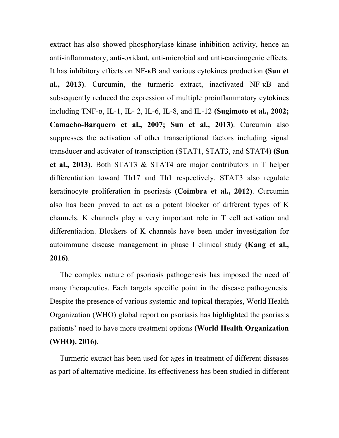extract has also showed phosphorylase kinase inhibition activity, hence an anti-inflammatory, anti-oxidant, anti-microbial and anti-carcinogenic effects. It has inhibitory effects on NF-κB and various cytokines production **(Sun et al., 2013)**. Curcumin, the turmeric extract, inactivated NF-κB and subsequently reduced the expression of multiple proinflammatory cytokines including TNF-α, IL-1, IL- 2, IL-6, IL-8, and IL-12 **(Sugimoto et al., 2002; Camacho-Barquero et al., 2007; Sun et al., 2013)**. Curcumin also suppresses the activation of other transcriptional factors including signal transducer and activator of transcription (STAT1, STAT3, and STAT4) **(Sun et al., 2013)**. Both STAT3 & STAT4 are major contributors in T helper differentiation toward Th17 and Th1 respectively. STAT3 also regulate keratinocyte proliferation in psoriasis **(Coimbra et al., 2012)**. Curcumin also has been proved to act as a potent blocker of different types of K channels. K channels play a very important role in T cell activation and differentiation. Blockers of K channels have been under investigation for autoimmune disease management in phase I clinical study **(Kang et al., 2016)**.

The complex nature of psoriasis pathogenesis has imposed the need of many therapeutics. Each targets specific point in the disease pathogenesis. Despite the presence of various systemic and topical therapies, World Health Organization (WHO) global report on psoriasis has highlighted the psoriasis patients' need to have more treatment options **(World Health Organization (WHO), 2016)**.

Turmeric extract has been used for ages in treatment of different diseases as part of alternative medicine. Its effectiveness has been studied in different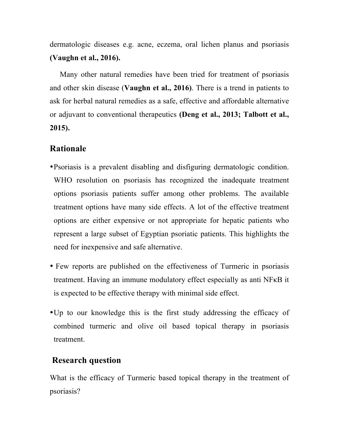dermatologic diseases e.g. acne, eczema, oral lichen planus and psoriasis **(Vaughn et al., 2016).** 

Many other natural remedies have been tried for treatment of psoriasis and other skin disease (**Vaughn et al., 2016)**. There is a trend in patients to ask for herbal natural remedies as a safe, effective and affordable alternative or adjuvant to conventional therapeutics **(Deng et al., 2013; Talbott et al., 2015).** 

## **Rationale**

- •Psoriasis is a prevalent disabling and disfiguring dermatologic condition. WHO resolution on psoriasis has recognized the inadequate treatment options psoriasis patients suffer among other problems. The available treatment options have many side effects. A lot of the effective treatment options are either expensive or not appropriate for hepatic patients who represent a large subset of Egyptian psoriatic patients. This highlights the need for inexpensive and safe alternative.
- Few reports are published on the effectiveness of Turmeric in psoriasis treatment. Having an immune modulatory effect especially as anti NFκB it is expected to be effective therapy with minimal side effect.
- •Up to our knowledge this is the first study addressing the efficacy of combined turmeric and olive oil based topical therapy in psoriasis treatment.

### **Research question**

What is the efficacy of Turmeric based topical therapy in the treatment of psoriasis?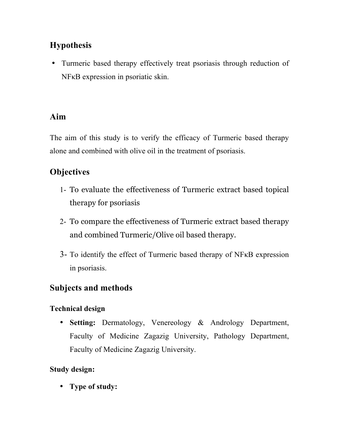# **Hypothesis**

• Turmeric based therapy effectively treat psoriasis through reduction of NFκB expression in psoriatic skin.

# **Aim**

The aim of this study is to verify the efficacy of Turmeric based therapy alone and combined with olive oil in the treatment of psoriasis.

# **Objectives**

- 1- To evaluate the effectiveness of Turmeric extract based topical therapy for psoriasis
- 2- To compare the effectiveness of Turmeric extract based therapy and combined Turmeric/Olive oil based therapy.
- 3- To identify the effect of Turmeric based therapy of NFκB expression in psoriasis.

# **Subjects and methods**

## **Technical design**

• **Setting:** Dermatology, Venereology & Andrology Department, Faculty of Medicine Zagazig University, Pathology Department, Faculty of Medicine Zagazig University.

## **Study design:**

• **Type of study:**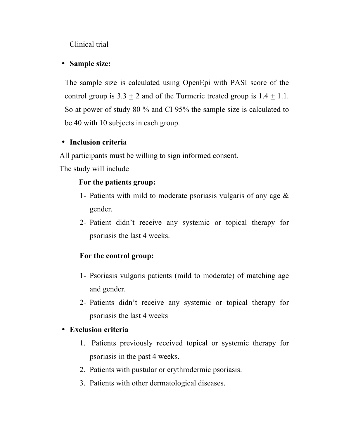Clinical trial

#### • **Sample size:**

The sample size is calculated using OpenEpi with PASI score of the control group is  $3.3 \pm 2$  and of the Turmeric treated group is  $1.4 \pm 1.1$ . So at power of study 80 % and CI 95% the sample size is calculated to be 40 with 10 subjects in each group.

### • **Inclusion criteria**

All participants must be willing to sign informed consent.

The study will include

#### **For the patients group:**

- 1- Patients with mild to moderate psoriasis vulgaris of any age & gender.
- 2- Patient didn't receive any systemic or topical therapy for psoriasis the last 4 weeks.

## **For the control group:**

- 1- Psoriasis vulgaris patients (mild to moderate) of matching age and gender.
- 2- Patients didn't receive any systemic or topical therapy for psoriasis the last 4 weeks

### • **Exclusion criteria**

- 1. Patients previously received topical or systemic therapy for psoriasis in the past 4 weeks.
- 2. Patients with pustular or erythrodermic psoriasis.
- 3. Patients with other dermatological diseases.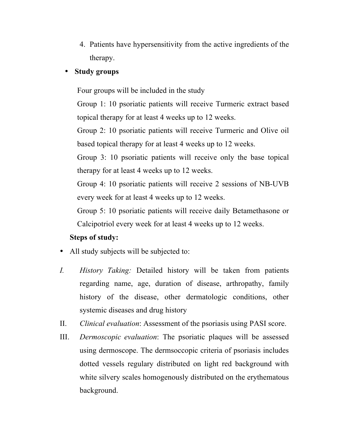4. Patients have hypersensitivity from the active ingredients of the therapy.

#### • **Study groups**

Four groups will be included in the study

Group 1: 10 psoriatic patients will receive Turmeric extract based topical therapy for at least 4 weeks up to 12 weeks.

Group 2: 10 psoriatic patients will receive Turmeric and Olive oil based topical therapy for at least 4 weeks up to 12 weeks.

Group 3: 10 psoriatic patients will receive only the base topical therapy for at least 4 weeks up to 12 weeks.

Group 4: 10 psoriatic patients will receive 2 sessions of NB-UVB every week for at least 4 weeks up to 12 weeks.

Group 5: 10 psoriatic patients will receive daily Betamethasone or Calcipotriol every week for at least 4 weeks up to 12 weeks.

#### **Steps of study:**

- All study subjects will be subjected to:
- *I. History Taking:* Detailed history will be taken from patients regarding name, age, duration of disease, arthropathy, family history of the disease, other dermatologic conditions, other systemic diseases and drug history
- II. *Clinical evaluation*: Assessment of the psoriasis using PASI score.
- III. *Dermoscopic evaluation*: The psoriatic plaques will be assessed using dermoscope. The dermsoccopic criteria of psoriasis includes dotted vessels regulary distributed on light red background with white silvery scales homogenously distributed on the erythematous background.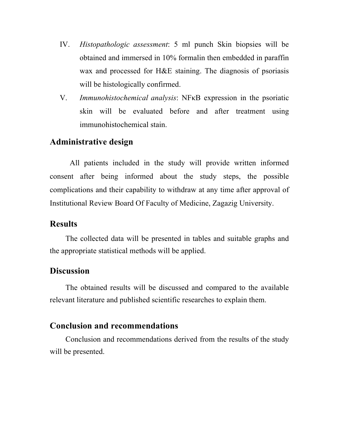- IV. *Histopathologic assessment*: 5 ml punch Skin biopsies will be obtained and immersed in 10% formalin then embedded in paraffin wax and processed for H&E staining. The diagnosis of psoriasis will be histologically confirmed.
- V. *Immunohistochemical analysis*: NFκB expression in the psoriatic skin will be evaluated before and after treatment using immunohistochemical stain.

### **Administrative design**

All patients included in the study will provide written informed consent after being informed about the study steps, the possible complications and their capability to withdraw at any time after approval of Institutional Review Board Of Faculty of Medicine, Zagazig University.

#### **Results**

The collected data will be presented in tables and suitable graphs and the appropriate statistical methods will be applied.

#### **Discussion**

The obtained results will be discussed and compared to the available relevant literature and published scientific researches to explain them.

#### **Conclusion and recommendations**

Conclusion and recommendations derived from the results of the study will be presented.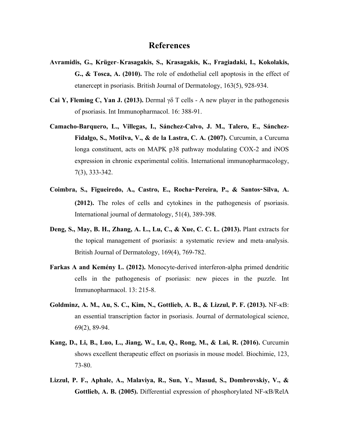#### **References**

- **Avramidis, G., Krüger**‐**Krasagakis, S., Krasagakis, K., Fragiadaki, I., Kokolakis, G., & Tosca, A. (2010).** The role of endothelial cell apoptosis in the effect of etanercept in psoriasis. British Journal of Dermatology, 163(5), 928-934.
- **Cai Y, Fleming C, Yan J. (2013).** Dermal γδ T cells A new player in the pathogenesis of psoriasis. Int Immunopharmacol. 16: 388-91.
- **Camacho-Barquero, L., Villegas, I., Sánchez-Calvo, J. M., Talero, E., Sánchez-Fidalgo, S., Motilva, V., & de la Lastra, C. A. (2007).** Curcumin, a Curcuma longa constituent, acts on MAPK p38 pathway modulating COX-2 and iNOS expression in chronic experimental colitis. International immunopharmacology, 7(3), 333-342.
- **Coimbra, S., Figueiredo, A., Castro, E., Rocha-Pereira, P., & Santos-Silva, A. (2012).** The roles of cells and cytokines in the pathogenesis of psoriasis. International journal of dermatology, 51(4), 389-398.
- **Deng, S., May, B. H., Zhang, A. L., Lu, C., & Xue, C. C. L. (2013).** Plant extracts for the topical management of psoriasis: a systematic review and meta‐analysis. British Journal of Dermatology, 169(4), 769-782.
- **Farkas A and Kemény L. (2012).** Monocyte-derived interferon-alpha primed dendritic cells in the pathogenesis of psoriasis: new pieces in the puzzle. Int Immunopharmacol. 13: 215-8.
- **Goldminz, A. M., Au, S. C., Kim, N., Gottlieb, A. B., & Lizzul, P. F. (2013).** NF-κB: an essential transcription factor in psoriasis. Journal of dermatological science, 69(2), 89-94.
- **Kang, D., Li, B., Luo, L., Jiang, W., Lu, Q., Rong, M., & Lai, R. (2016).** Curcumin shows excellent therapeutic effect on psoriasis in mouse model. Biochimie, 123, 73-80.
- **Lizzul, P. F., Aphale, A., Malaviya, R., Sun, Y., Masud, S., Dombrovskiy, V., & Gottlieb, A. B. (2005).** Differential expression of phosphorylated NF-κB/RelA